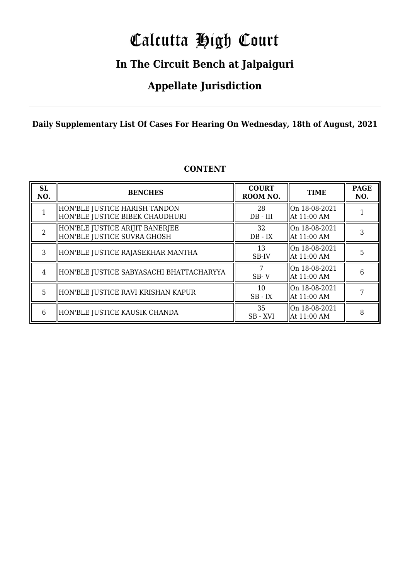# Calcutta High Court

## **In The Circuit Bench at Jalpaiguri**

## **Appellate Jurisdiction**

**Daily Supplementary List Of Cases For Hearing On Wednesday, 18th of August, 2021**

| <b>SL</b><br>NO. | <b>BENCHES</b>                                                   | <b>COURT</b><br>ROOM NO. | <b>TIME</b>                    | <b>PAGE</b><br>NO. |
|------------------|------------------------------------------------------------------|--------------------------|--------------------------------|--------------------|
|                  | HON'BLE JUSTICE HARISH TANDON<br>HON'BLE JUSTICE BIBEK CHAUDHURI | 28<br>$DB - III$         | On 18-08-2021<br>  At 11:00 AM |                    |
| $\mathcal{L}$    | HON'BLE JUSTICE ARIJIT BANERJEE<br>HON'BLE JUSTICE SUVRA GHOSH   | 32<br>$DB - IX$          | On 18-08-2021<br>  At 11:00 AM | 3                  |
| 3                | HON'BLE JUSTICE RAJASEKHAR MANTHA                                | 13<br>SB-IV              | On 18-08-2021<br>  At 11:00 AM | 5                  |
| 4                | HON'BLE JUSTICE SABYASACHI BHATTACHARYYA                         | $SB - V$                 | On 18-08-2021<br>  At 11:00 AM | 6                  |
| 5                | HON'BLE JUSTICE RAVI KRISHAN KAPUR                               | 10<br>$SB$ - $IX$        | On 18-08-2021<br>  At 11:00 AM |                    |
| 6                | HON'BLE JUSTICE KAUSIK CHANDA                                    | 35<br>SB-XVI             | On 18-08-2021<br>  At 11:00 AM | 8                  |

### **CONTENT**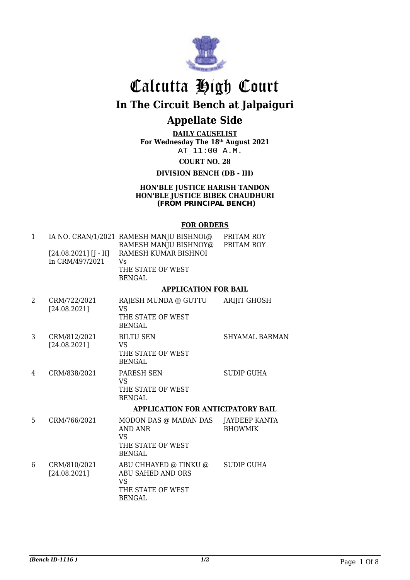

# Calcutta High Court **In The Circuit Bench at Jalpaiguri**

### **Appellate Side**

**DAILY CAUSELIST For Wednesday The 18th August 2021** AT 11:00 A.M.

**COURT NO. 28**

**DIVISION BENCH (DB - III)**

#### **HON'BLE JUSTICE HARISH TANDON HON'BLE JUSTICE BIBEK CHAUDHURI (FROM PRINCIPAL BENCH)**

#### **FOR ORDERS**

| $\mathbf{1}$ |                                            | IA NO. CRAN/1/2021 RAMESH MANJU BISHNOI@<br>RAMESH MANJU BISHNOY@                                    | PRITAM ROY<br>PRITAM ROY               |
|--------------|--------------------------------------------|------------------------------------------------------------------------------------------------------|----------------------------------------|
|              | $[24.08.2021]$ [J - II]<br>In CRM/497/2021 | RAMESH KUMAR BISHNOI<br>Vs                                                                           |                                        |
|              |                                            | THE STATE OF WEST<br><b>BENGAL</b>                                                                   |                                        |
|              |                                            | <b>APPLICATION FOR BAIL</b>                                                                          |                                        |
| 2            | CRM/722/2021<br>[24.08.2021]               | RAJESH MUNDA @ GUTTU<br><b>VS</b><br>THE STATE OF WEST                                               | ARIJIT GHOSH                           |
|              |                                            | <b>BENGAL</b>                                                                                        |                                        |
| 3            | CRM/812/2021<br>[24.08.2021]               | <b>BILTU SEN</b><br><b>VS</b><br>THE STATE OF WEST<br><b>BENGAL</b>                                  | <b>SHYAMAL BARMAN</b>                  |
| 4            | CRM/838/2021                               | PARESH SEN<br><b>VS</b><br>THE STATE OF WEST<br><b>BENGAL</b>                                        | <b>SUDIP GUHA</b>                      |
|              |                                            | <b>APPLICATION FOR ANTICIPATORY BAIL</b>                                                             |                                        |
| 5            | CRM/766/2021                               | MODON DAS @ MADAN DAS<br><b>AND ANR</b><br><b>VS</b><br>THE STATE OF WEST<br><b>BENGAL</b>           | <b>JAYDEEP KANTA</b><br><b>BHOWMIK</b> |
| 6            | CRM/810/2021<br>[24.08.2021]               | ABU CHHAYED @ TINKU @<br><b>ABU SAHED AND ORS</b><br><b>VS</b><br>THE STATE OF WEST<br><b>BENGAL</b> | <b>SUDIP GUHA</b>                      |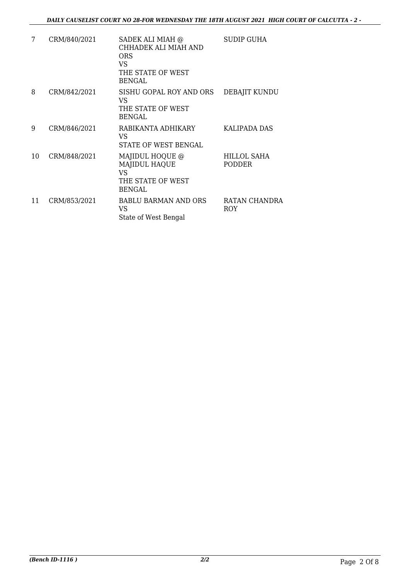| 7  | CRM/840/2021 | SADEK ALI MIAH @<br>CHHADEK ALI MIAH AND<br>ORS<br>VS<br>THE STATE OF WEST<br><b>BENGAL</b> | <b>SUDIP GUHA</b>     |
|----|--------------|---------------------------------------------------------------------------------------------|-----------------------|
| 8  | CRM/842/2021 | SISHU GOPAL ROY AND ORS<br>VS<br>THE STATE OF WEST<br><b>BENGAL</b>                         | DEBAJIT KUNDU         |
| 9  | CRM/846/2021 | RABIKANTA ADHIKARY<br>VS<br>STATE OF WEST BENGAL                                            | KALIPADA DAS          |
| 10 | CRM/848/2021 | MAJIDUL HOQUE @<br><b>MAJIDUL HAQUE</b><br>VS<br>THE STATE OF WEST<br><b>BENGAL</b>         | HILLOL SAHA<br>PODDER |
| 11 | CRM/853/2021 | <b>BABLU BARMAN AND ORS</b><br>VS<br>State of West Bengal                                   | RATAN CHANDRA<br>ROY  |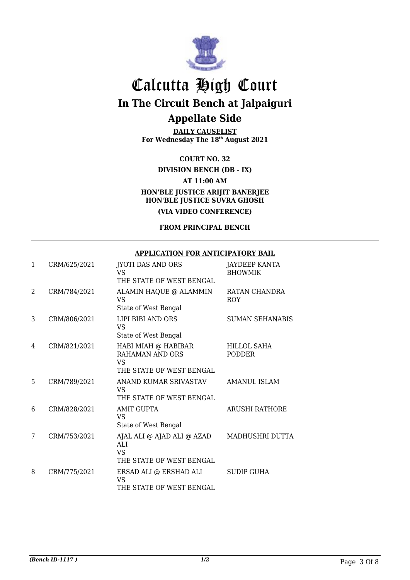

**DAILY CAUSELIST For Wednesday The 18th August 2021**

### **COURT NO. 32**

**DIVISION BENCH (DB - IX)**

### **AT 11:00 AM**

### **HON'BLE JUSTICE ARIJIT BANERJEE HON'BLE JUSTICE SUVRA GHOSH (VIA VIDEO CONFERENCE)**

#### **FROM PRINCIPAL BENCH**

### **APPLICATION FOR ANTICIPATORY BAIL**

| 1 | CRM/625/2021 | <b>JYOTI DAS AND ORS</b><br>VS<br>THE STATE OF WEST BENGAL               | JAYDEEP KANTA<br><b>BHOWMIK</b> |
|---|--------------|--------------------------------------------------------------------------|---------------------------------|
| 2 | CRM/784/2021 | ALAMIN HAQUE @ ALAMMIN<br>VS.<br>State of West Bengal                    | RATAN CHANDRA<br>ROY            |
| 3 | CRM/806/2021 | LIPI BIBI AND ORS<br>VS<br>State of West Bengal                          | <b>SUMAN SEHANABIS</b>          |
| 4 | CRM/821/2021 | HABI MIAH @ HABIBAR<br>RAHAMAN AND ORS<br>VS<br>THE STATE OF WEST BENGAL | HILLOL SAHA<br><b>PODDER</b>    |
| 5 | CRM/789/2021 | ANAND KUMAR SRIVASTAV<br>VS<br>THE STATE OF WEST BENGAL                  | AMANUL ISLAM                    |
| 6 | CRM/828/2021 | AMIT GUPTA<br><b>VS</b><br>State of West Bengal                          | <b>ARUSHI RATHORE</b>           |
| 7 | CRM/753/2021 | AJAL ALI @ AJAD ALI @ AZAD<br>ALI<br>VS<br>THE STATE OF WEST BENGAL      | MADHUSHRI DUTTA                 |
| 8 | CRM/775/2021 | ERSAD ALI @ ERSHAD ALI<br>VS<br>THE STATE OF WEST BENGAL                 | <b>SUDIP GUHA</b>               |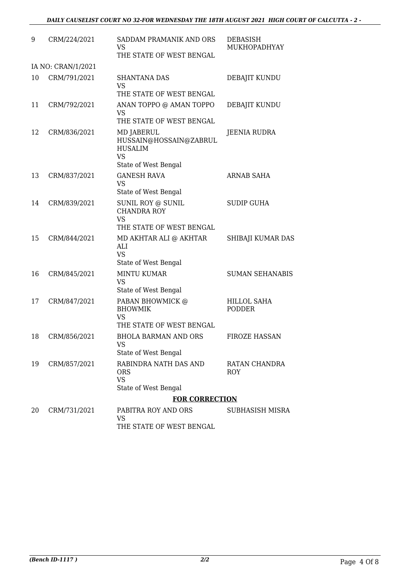| 9  | CRM/224/2021       | SADDAM PRAMANIK AND ORS<br>VS<br>THE STATE OF WEST BENGAL                                          | DEBASISH<br>MUKHOPADHYAY            |
|----|--------------------|----------------------------------------------------------------------------------------------------|-------------------------------------|
|    | IA NO: CRAN/1/2021 |                                                                                                    |                                     |
| 10 | CRM/791/2021       | <b>SHANTANA DAS</b><br><b>VS</b><br>THE STATE OF WEST BENGAL                                       | DEBAJIT KUNDU                       |
| 11 | CRM/792/2021       | ANAN TOPPO @ AMAN TOPPO<br>VS<br>THE STATE OF WEST BENGAL                                          | DEBAJIT KUNDU                       |
| 12 | CRM/836/2021       | <b>MD JABERUL</b><br>HUSSAIN@HOSSAIN@ZABRUL<br><b>HUSALIM</b><br><b>VS</b><br>State of West Bengal | JEENIA RUDRA                        |
| 13 | CRM/837/2021       | <b>GANESH RAVA</b><br><b>VS</b><br>State of West Bengal                                            | ARNAB SAHA                          |
| 14 | CRM/839/2021       | SUNIL ROY @ SUNIL<br><b>CHANDRA ROY</b><br><b>VS</b><br>THE STATE OF WEST BENGAL                   | <b>SUDIP GUHA</b>                   |
| 15 | CRM/844/2021       | MD AKHTAR ALI @ AKHTAR<br>ALI<br><b>VS</b><br>State of West Bengal                                 | SHIBAJI KUMAR DAS                   |
| 16 | CRM/845/2021       | <b>MINTU KUMAR</b><br><b>VS</b><br>State of West Bengal                                            | <b>SUMAN SEHANABIS</b>              |
| 17 | CRM/847/2021       | PABAN BHOWMICK @<br><b>BHOWMIK</b><br><b>VS</b><br>THE STATE OF WEST BENGAL                        | <b>HILLOL SAHA</b><br><b>PODDER</b> |
| 18 | CRM/856/2021       | <b>BHOLA BARMAN AND ORS</b><br><b>VS</b><br>State of West Bengal                                   | <b>FIROZE HASSAN</b>                |
| 19 | CRM/857/2021       | RABINDRA NATH DAS AND<br><b>ORS</b><br><b>VS</b><br>State of West Bengal                           | RATAN CHANDRA<br>ROY                |
|    |                    | <b>FOR CORRECTION</b>                                                                              |                                     |
| 20 | CRM/731/2021       | PABITRA ROY AND ORS<br><b>VS</b><br>THE STATE OF WEST BENGAL                                       | SUBHASISH MISRA                     |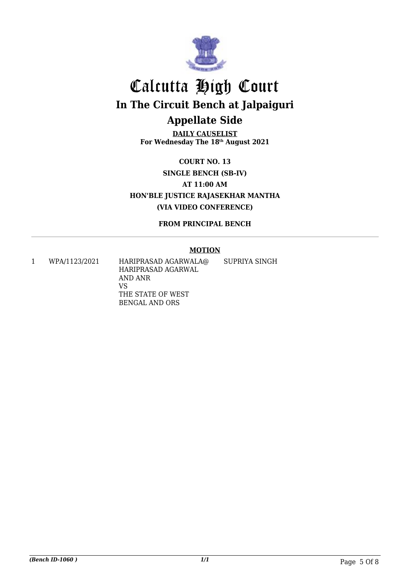

**DAILY CAUSELIST For Wednesday The 18th August 2021**

**COURT NO. 13 SINGLE BENCH (SB-IV) AT 11:00 AM HON'BLE JUSTICE RAJASEKHAR MANTHA (VIA VIDEO CONFERENCE)**

**FROM PRINCIPAL BENCH**

### **MOTION**

1 WPA/1123/2021 HARIPRASAD AGARWALA@ HARIPRASAD AGARWAL AND ANR VS THE STATE OF WEST BENGAL AND ORS SUPRIYA SINGH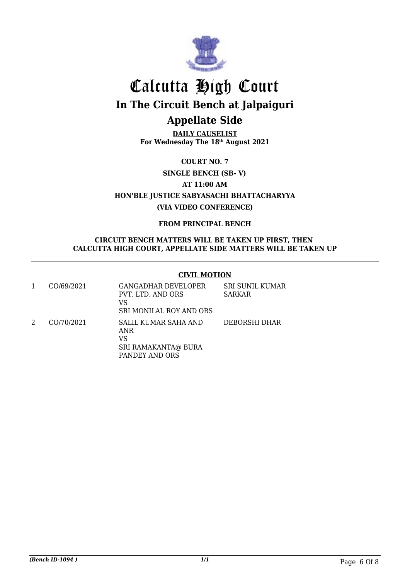

**DAILY CAUSELIST For Wednesday The 18th August 2021**

**COURT NO. 7**

**SINGLE BENCH (SB- V)**

**AT 11:00 AM**

**HON'BLE JUSTICE SABYASACHI BHATTACHARYYA (VIA VIDEO CONFERENCE)**

**FROM PRINCIPAL BENCH**

### **CIRCUIT BENCH MATTERS WILL BE TAKEN UP FIRST, THEN CALCUTTA HIGH COURT, APPELLATE SIDE MATTERS WILL BE TAKEN UP**

### **CIVIL MOTION**

| CO/69/2021 | <b>GANGADHAR DEVELOPER</b><br>PVT. LTD. AND ORS<br>VS<br>SRI MONILAL ROY AND ORS  | <b>SRI SUNIL KUMAR</b><br><b>SARKAR</b> |
|------------|-----------------------------------------------------------------------------------|-----------------------------------------|
| CO/70/2021 | SALIL KUMAR SAHA AND<br>ANR<br>VS<br><b>SRI RAMAKANTA@ BURA</b><br>PANDEY AND ORS | DEBORSHI DHAR                           |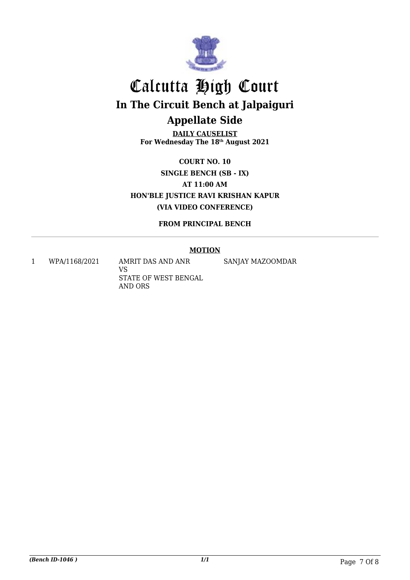

**DAILY CAUSELIST For Wednesday The 18th August 2021**

**COURT NO. 10 SINGLE BENCH (SB - IX) AT 11:00 AM HON'BLE JUSTICE RAVI KRISHAN KAPUR (VIA VIDEO CONFERENCE)**

**FROM PRINCIPAL BENCH**

### **MOTION**

1 WPA/1168/2021 AMRIT DAS AND ANR

VS STATE OF WEST BENGAL AND ORS

SANJAY MAZOOMDAR

*(Bench ID-1046 ) 1/1* Page 7 Of 8